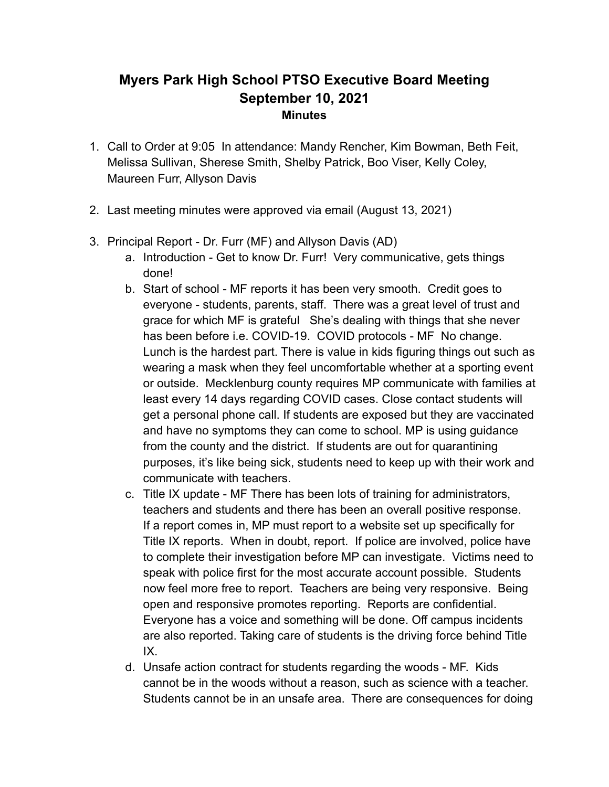## **Myers Park High School PTSO Executive Board Meeting September 10, 2021 Minutes**

- 1. Call to Order at 9:05 In attendance: Mandy Rencher, Kim Bowman, Beth Feit, Melissa Sullivan, Sherese Smith, Shelby Patrick, Boo Viser, Kelly Coley, Maureen Furr, Allyson Davis
- 2. Last meeting minutes were approved via email (August 13, 2021)
- 3. Principal Report Dr. Furr (MF) and Allyson Davis (AD)
	- a. Introduction Get to know Dr. Furr! Very communicative, gets things done!
	- b. Start of school MF reports it has been very smooth. Credit goes to everyone - students, parents, staff. There was a great level of trust and grace for which MF is grateful She's dealing with things that she never has been before i.e. COVID-19. COVID protocols - MF No change. Lunch is the hardest part. There is value in kids figuring things out such as wearing a mask when they feel uncomfortable whether at a sporting event or outside. Mecklenburg county requires MP communicate with families at least every 14 days regarding COVID cases. Close contact students will get a personal phone call. If students are exposed but they are vaccinated and have no symptoms they can come to school. MP is using guidance from the county and the district. If students are out for quarantining purposes, it's like being sick, students need to keep up with their work and communicate with teachers.
	- c. Title IX update MF There has been lots of training for administrators, teachers and students and there has been an overall positive response. If a report comes in, MP must report to a website set up specifically for Title IX reports. When in doubt, report. If police are involved, police have to complete their investigation before MP can investigate. Victims need to speak with police first for the most accurate account possible. Students now feel more free to report. Teachers are being very responsive. Being open and responsive promotes reporting. Reports are confidential. Everyone has a voice and something will be done. Off campus incidents are also reported. Taking care of students is the driving force behind Title IX.
	- d. Unsafe action contract for students regarding the woods MF. Kids cannot be in the woods without a reason, such as science with a teacher. Students cannot be in an unsafe area. There are consequences for doing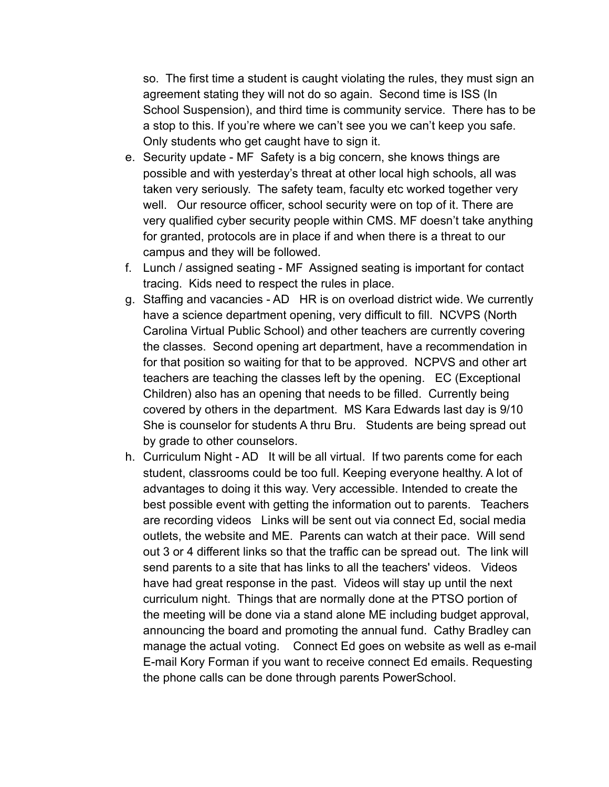so. The first time a student is caught violating the rules, they must sign an agreement stating they will not do so again. Second time is ISS (In School Suspension), and third time is community service. There has to be a stop to this. If you're where we can't see you we can't keep you safe. Only students who get caught have to sign it.

- e. Security update MF Safety is a big concern, she knows things are possible and with yesterday's threat at other local high schools, all was taken very seriously. The safety team, faculty etc worked together very well. Our resource officer, school security were on top of it. There are very qualified cyber security people within CMS. MF doesn't take anything for granted, protocols are in place if and when there is a threat to our campus and they will be followed.
- f. Lunch / assigned seating MF Assigned seating is important for contact tracing. Kids need to respect the rules in place.
- g. Staffing and vacancies AD HR is on overload district wide. We currently have a science department opening, very difficult to fill. NCVPS (North Carolina Virtual Public School) and other teachers are currently covering the classes. Second opening art department, have a recommendation in for that position so waiting for that to be approved. NCPVS and other art teachers are teaching the classes left by the opening. EC (Exceptional Children) also has an opening that needs to be filled. Currently being covered by others in the department. MS Kara Edwards last day is 9/10 She is counselor for students A thru Bru. Students are being spread out by grade to other counselors.
- h. Curriculum Night AD It will be all virtual. If two parents come for each student, classrooms could be too full. Keeping everyone healthy. A lot of advantages to doing it this way. Very accessible. Intended to create the best possible event with getting the information out to parents. Teachers are recording videos Links will be sent out via connect Ed, social media outlets, the website and ME. Parents can watch at their pace. Will send out 3 or 4 different links so that the traffic can be spread out. The link will send parents to a site that has links to all the teachers' videos. Videos have had great response in the past. Videos will stay up until the next curriculum night. Things that are normally done at the PTSO portion of the meeting will be done via a stand alone ME including budget approval, announcing the board and promoting the annual fund. Cathy Bradley can manage the actual voting. Connect Ed goes on website as well as e-mail E-mail Kory Forman if you want to receive connect Ed emails. Requesting the phone calls can be done through parents PowerSchool.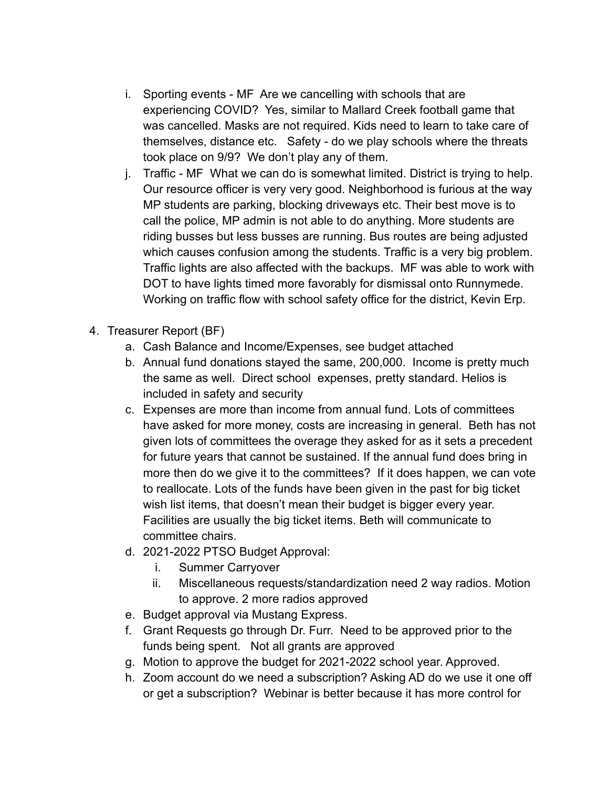- i. Sporting events MF Are we cancelling with schools that are experiencing COVID? Yes, similar to Mallard Creek football game that was cancelled. Masks are not required. Kids need to learn to take care of themselves, distance etc. Safety - do we play schools where the threats took place on 9/9? We don't play any of them.
- j. Traffic MF What we can do is somewhat limited. District is trying to help. Our resource officer is very very good. Neighborhood is furious at the way MP students are parking, blocking driveways etc. Their best move is to call the police, MP admin is not able to do anything. More students are riding busses but less busses are running. Bus routes are being adjusted which causes confusion among the students. Traffic is a very big problem. Traffic lights are also affected with the backups. MF was able to work with DOT to have lights timed more favorably for dismissal onto Runnymede. Working on traffic flow with school safety office for the district, Kevin Erp.
- 4. Treasurer Report (BF)
	- a. Cash Balance and Income/Expenses, see budget attached
	- b. Annual fund donations stayed the same, 200,000. Income is pretty much the same as well. Direct school expenses, pretty standard. Helios is included in safety and security
	- c. Expenses are more than income from annual fund. Lots of committees have asked for more money, costs are increasing in general. Beth has not given lots of committees the overage they asked for as it sets a precedent for future years that cannot be sustained. If the annual fund does bring in more then do we give it to the committees? If it does happen, we can vote to reallocate. Lots of the funds have been given in the past for big ticket wish list items, that doesn't mean their budget is bigger every year. Facilities are usually the big ticket items. Beth will communicate to committee chairs.
	- d. 2021-2022 PTSO Budget Approval:
		- i. Summer Carryover
		- ii. Miscellaneous requests/standardization need 2 way radios. Motion to approve. 2 more radios approved
	- e. Budget approval via Mustang Express.
	- f. Grant Requests go through Dr. Furr. Need to be approved prior to the funds being spent. Not all grants are approved
	- g. Motion to approve the budget for 2021-2022 school year. Approved.
	- h. Zoom account do we need a subscription? Asking AD do we use it one off or get a subscription? Webinar is better because it has more control for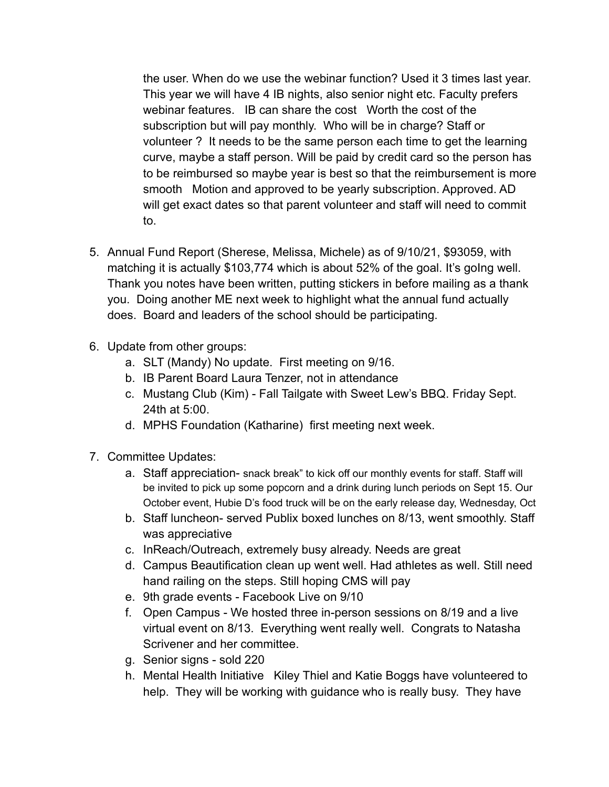the user. When do we use the webinar function? Used it 3 times last year. This year we will have 4 IB nights, also senior night etc. Faculty prefers webinar features. IB can share the cost Worth the cost of the subscription but will pay monthly. Who will be in charge? Staff or volunteer ? It needs to be the same person each time to get the learning curve, maybe a staff person. Will be paid by credit card so the person has to be reimbursed so maybe year is best so that the reimbursement is more smooth Motion and approved to be yearly subscription. Approved. AD will get exact dates so that parent volunteer and staff will need to commit to.

- 5. Annual Fund Report (Sherese, Melissa, Michele) as of 9/10/21, \$93059, with matching it is actually \$103,774 which is about 52% of the goal. It's golng well. Thank you notes have been written, putting stickers in before mailing as a thank you. Doing another ME next week to highlight what the annual fund actually does. Board and leaders of the school should be participating.
- 6. Update from other groups:
	- a. SLT (Mandy) No update. First meeting on 9/16.
	- b. IB Parent Board Laura Tenzer, not in attendance
	- c. Mustang Club (Kim) Fall Tailgate with Sweet Lew's BBQ. Friday Sept. 24th at 5:00.
	- d. MPHS Foundation (Katharine) first meeting next week.
- 7. Committee Updates:
	- a. Staff appreciation- snack break" to kick off our monthly events for staff. Staff will be invited to pick up some popcorn and a drink during lunch periods on Sept 15. Our October event, Hubie D's food truck will be on the early release day, Wednesday, Oct
	- b. Staff luncheon- served Publix boxed lunches on 8/13, went smoothly. Staff was appreciative
	- c. InReach/Outreach, extremely busy already. Needs are great
	- d. Campus Beautification clean up went well. Had athletes as well. Still need hand railing on the steps. Still hoping CMS will pay
	- e. 9th grade events Facebook Live on 9/10
	- f. Open Campus We hosted three in-person sessions on 8/19 and a live virtual event on 8/13. Everything went really well. Congrats to Natasha Scrivener and her committee.
	- g. Senior signs sold 220
	- h. Mental Health Initiative Kiley Thiel and Katie Boggs have volunteered to help. They will be working with guidance who is really busy. They have